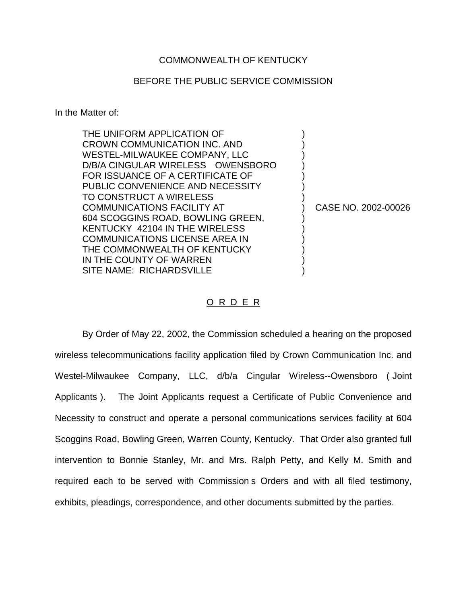## COMMONWEALTH OF KENTUCKY

## BEFORE THE PUBLIC SERVICE COMMISSION

In the Matter of:

| THE UNIFORM APPLICATION OF            |                     |
|---------------------------------------|---------------------|
| CROWN COMMUNICATION INC. AND          |                     |
| WESTEL-MILWAUKEE COMPANY, LLC         |                     |
| D/B/A CINGULAR WIRELESS OWENSBORO     |                     |
| FOR ISSUANCE OF A CERTIFICATE OF      |                     |
| PUBLIC CONVENIENCE AND NECESSITY      |                     |
| TO CONSTRUCT A WIRELESS               |                     |
| <b>COMMUNICATIONS FACILITY AT</b>     | CASE NO. 2002-00026 |
| 604 SCOGGINS ROAD, BOWLING GREEN,     |                     |
| KENTUCKY 42104 IN THE WIRELESS        |                     |
| <b>COMMUNICATIONS LICENSE AREA IN</b> |                     |
| THE COMMONWEALTH OF KENTUCKY          |                     |
| IN THE COUNTY OF WARREN               |                     |
| SITE NAME: RICHARDSVILLE              |                     |

## O R D E R

By Order of May 22, 2002, the Commission scheduled a hearing on the proposed wireless telecommunications facility application filed by Crown Communication Inc. and Westel-Milwaukee Company, LLC, d/b/a Cingular Wireless--Owensboro ( Joint Applicants ). The Joint Applicants request a Certificate of Public Convenience and Necessity to construct and operate a personal communications services facility at 604 Scoggins Road, Bowling Green, Warren County, Kentucky. That Order also granted full intervention to Bonnie Stanley, Mr. and Mrs. Ralph Petty, and Kelly M. Smith and required each to be served with Commission s Orders and with all filed testimony, exhibits, pleadings, correspondence, and other documents submitted by the parties.